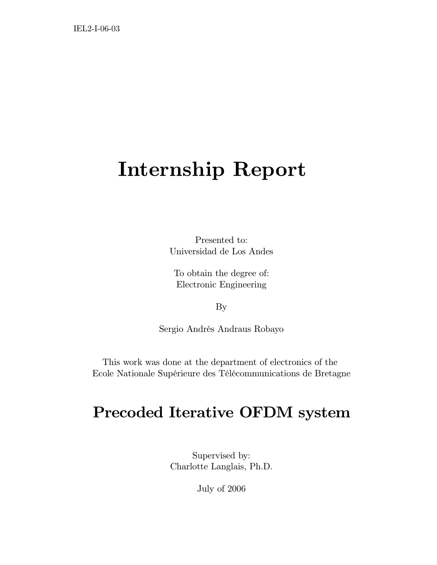# **Internship Report**

Presented to: Universidad de Los Andes

To obtain the degree of: Electronic Engineering

By

Sergio Andrés Andraus Robayo

This work was done at the department of electronics of the Ecole Nationale Supérieure des Télécommunications de Bretagne

## **Precoded Iterative OFDM system**

Supervised by: Charlotte Langlais, Ph.D.

July of 2006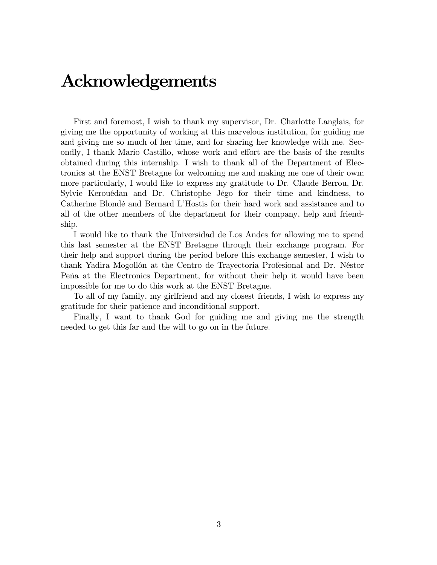## **Acknowledgements**

First and foremost, I wish to thank my supervisor, Dr. Charlotte Langlais, for giving me the opportunity of working at this marvelous institution, for guiding me and giving me so much of her time, and for sharing her knowledge with me. Secondly, I thank Mario Castillo, whose work and effort are the basis of the results obtained during this internship. I wish to thank all of the Department of Electronics at the ENST Bretagne for welcoming me and making me one of their own; more particularly, I would like to express my gratitude to Dr. Claude Berrou, Dr. Sylvie Kerouédan and Dr. Christophe Jégo for their time and kindness, to Catherine Blondé and Bernard L'Hostis for their hard work and assistance and to all of the other members of the department for their company, help and friendship.

I would like to thank the Universidad de Los Andes for allowing me to spend this last semester at the ENST Bretagne through their exchange program. For their help and support during the period before this exchange semester, I wish to thank Yadira Mogollón at the Centro de Trayectoria Profesional and Dr. Néstor Peña at the Electronics Department, for without their help it would have been impossible for me to do this work at the ENST Bretagne.

To all of my family, my girlfriend and my closest friends, I wish to express my gratitude for their patience and inconditional support.

Finally, I want to thank God for guiding me and giving me the strength needed to get this far and the will to go on in the future.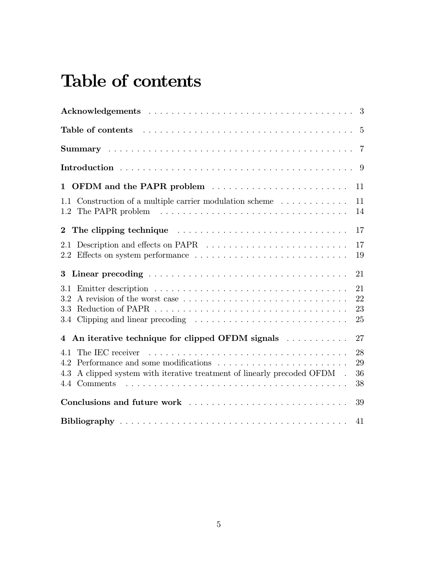# **Table of contents**

| Table of contents $\ldots \ldots \ldots \ldots \ldots \ldots \ldots \ldots \ldots \ldots \ldots \ldots 5$                       |                      |
|---------------------------------------------------------------------------------------------------------------------------------|----------------------|
|                                                                                                                                 | $\overline{7}$       |
|                                                                                                                                 | - 9                  |
| 1 OFDM and the PAPR problem                                                                                                     | 11                   |
| 1.1 Construction of a multiple carrier modulation scheme $\dots \dots \dots$                                                    | 11<br>14             |
|                                                                                                                                 | 17                   |
| 2.1                                                                                                                             | 17<br>19             |
|                                                                                                                                 | 21                   |
| 3.1<br>A revision of the worst case<br>3.2<br>3.3                                                                               | 21<br>22<br>23<br>25 |
| 4 An iterative technique for clipped OFDM signals                                                                               | 27                   |
| 4.1<br>Performance and some modifications<br>4.2<br>A clipped system with iterative treatment of linearly precoded OFDM.<br>4.3 | 28<br>29<br>36<br>38 |
| Conclusions and future work                                                                                                     | 39                   |
|                                                                                                                                 | 41                   |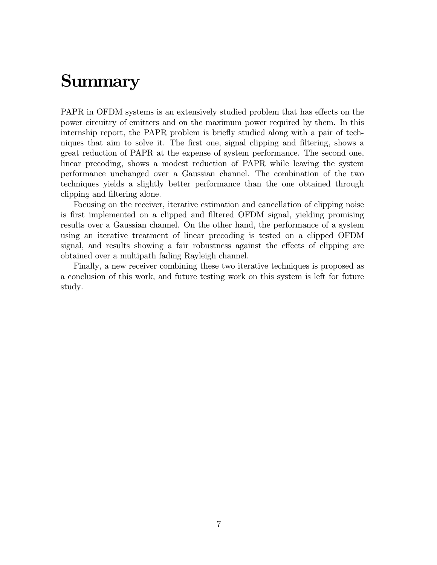# **Summary**

PAPR in OFDM systems is an extensively studied problem that has effects on the power circuitry of emitters and on the maximum power required by them. In this internship report, the PAPR problem is briefly studied along with a pair of techniques that aim to solve it. The first one, signal clipping and filtering, shows a great reduction of PAPR at the expense of system performance. The second one, linear precoding, shows a modest reduction of PAPR while leaving the system performance unchanged over a Gaussian channel. The combination of the two techniques yields a slightly better performance than the one obtained through clipping and filtering alone.

Focusing on the receiver, iterative estimation and cancellation of clipping noise is first implemented on a clipped and filtered OFDM signal, yielding promising results over a Gaussian channel. On the other hand, the performance of a system using an iterative treatment of linear precoding is tested on a clipped OFDM signal, and results showing a fair robustness against the effects of clipping are obtained over a multipath fading Rayleigh channel.

Finally, a new receiver combining these two iterative techniques is proposed as a conclusion of this work, and future testing work on this system is left for future study.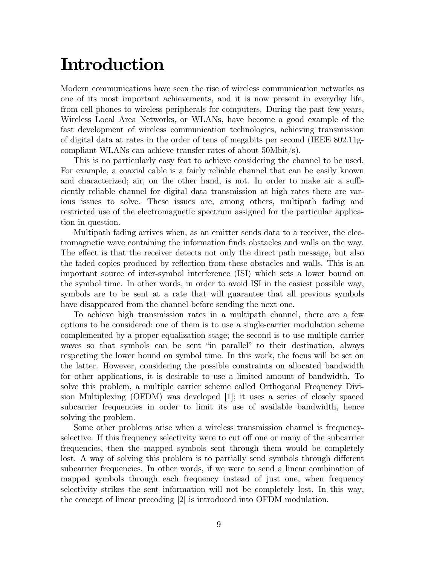# **Introduction**

Modern communications have seen the rise of wireless communication networks as one of its most important achievements, and it is now present in everyday life, from cell phones to wireless peripherals for computers. During the past few years, Wireless Local Area Networks, or WLANs, have become a good example of the fast development of wireless communication technologies, achieving transmission of digital data at rates in the order of tens of megabits per second (IEEE 802.11gcompliant WLANs can achieve transfer rates of about 50Mbit/s).

This is no particularly easy feat to achieve considering the channel to be used. For example, a coaxial cable is a fairly reliable channel that can be easily known and characterized; air, on the other hand, is not. In order to make air a sufficiently reliable channel for digital data transmission at high rates there are various issues to solve. These issues are, among others, multipath fading and restricted use of the electromagnetic spectrum assigned for the particular application in question.

Multipath fading arrives when, as an emitter sends data to a receiver, the electromagnetic wave containing the information finds obstacles and walls on the way. The effect is that the receiver detects not only the direct path message, but also the faded copies produced by reflection from these obstacles and walls. This is an important source of inter-symbol interference (ISI) which sets a lower bound on the symbol time. In other words, in order to avoid ISI in the easiest possible way, symbols are to be sent at a rate that will guarantee that all previous symbols have disappeared from the channel before sending the next one.

To achieve high transmission rates in a multipath channel, there are a few options to be considered: one of them is to use a single-carrier modulation scheme complemented by a proper equalization stage; the second is to use multiple carrier waves so that symbols can be sent "in parallel" to their destination, always respecting the lower bound on symbol time. In this work, the focus will be set on the latter. However, considering the possible constraints on allocated bandwidth for other applications, it is desirable to use a limited amount of bandwidth. To solve this problem, a multiple carrier scheme called Orthogonal Frequency Division Multiplexing (OFDM) was developed [1]; it uses a series of closely spaced subcarrier frequencies in order to limit its use of available bandwidth, hence solving the problem.

Some other problems arise when a wireless transmission channel is frequencyselective. If this frequency selectivity were to cut off one or many of the subcarrier frequencies, then the mapped symbols sent through them would be completely lost. A way of solving this problem is to partially send symbols through different subcarrier frequencies. In other words, if we were to send a linear combination of mapped symbols through each frequency instead of just one, when frequency selectivity strikes the sent information will not be completely lost. In this way, the concept of linear precoding [2] is introduced into OFDM modulation.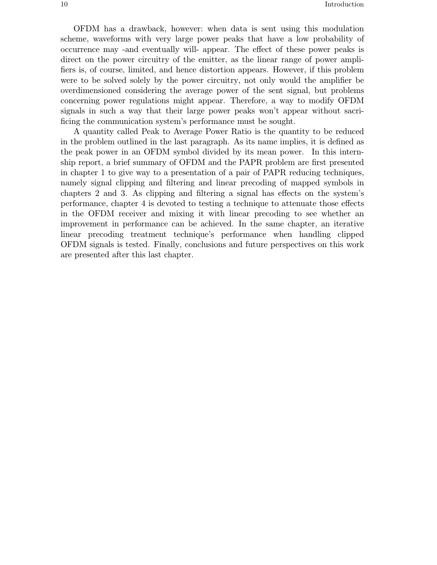OFDM has a drawback, however: when data is sent using this modulation scheme, waveforms with very large power peaks that have a low probability of occurrence may -and eventually will- appear. The effect of these power peaks is direct on the power circuitry of the emitter, as the linear range of power amplifiers is, of course, limited, and hence distortion appears. However, if this problem were to be solved solely by the power circuitry, not only would the amplifier be overdimensioned considering the average power of the sent signal, but problems concerning power regulations might appear. Therefore, a way to modify OFDM signals in such a way that their large power peaks won't appear without sacrificing the communication system's performance must be sought.

A quantity called Peak to Average Power Ratio is the quantity to be reduced in the problem outlined in the last paragraph. As its name implies, it is defined as the peak power in an OFDM symbol divided by its mean power. In this internship report, a brief summary of OFDM and the PAPR problem are first presented in chapter 1 to give way to a presentation of a pair of PAPR reducing techniques, namely signal clipping and filtering and linear precoding of mapped symbols in chapters 2 and 3. As clipping and filtering a signal has effects on the system's performance, chapter 4 is devoted to testing a technique to attenuate those effects in the OFDM receiver and mixing it with linear precoding to see whether an improvement in performance can be achieved. In the same chapter, an iterative linear precoding treatment technique's performance when handling clipped OFDM signals is tested. Finally, conclusions and future perspectives on this work are presented after this last chapter.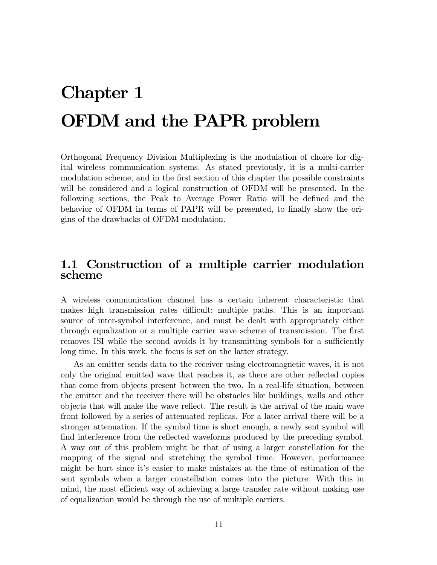# **Chapter 1 OFDM and the PAPR problem**

Orthogonal Frequency Division Multiplexing is the modulation of choice for digital wireless communication systems. As stated previously, it is a multi-carrier modulation scheme, and in the first section of this chapter the possible constraints will be considered and a logical construction of OFDM will be presented. In the following sections, the Peak to Average Power Ratio will be defined and the behavior of OFDM in terms of PAPR will be presented, to finally show the origins of the drawbacks of OFDM modulation.

### **1.1 Construction of a multiple carrier modulation scheme**

A wireless communication channel has a certain inherent characteristic that makes high transmission rates difficult: multiple paths. This is an important source of inter-symbol interference, and must be dealt with appropriately either through equalization or a multiple carrier wave scheme of transmission. The first removes ISI while the second avoids it by transmitting symbols for a sufficiently long time. In this work, the focus is set on the latter strategy.

As an emitter sends data to the receiver using electromagnetic waves, it is not only the original emitted wave that reaches it, as there are other reflected copies that come from objects present between the two. In a real-life situation, between the emitter and the receiver there will be obstacles like buildings, walls and other objects that will make the wave reflect. The result is the arrival of the main wave front followed by a series of attenuated replicas. For a later arrival there will be a stronger attenuation. If the symbol time is short enough, a newly sent symbol will find interference from the reflected waveforms produced by the preceding symbol. A way out of this problem might be that of using a larger constellation for the mapping of the signal and stretching the symbol time. However, performance might be hurt since it's easier to make mistakes at the time of estimation of the sent symbols when a larger constellation comes into the picture. With this in mind, the most efficient way of achieving a large transfer rate without making use of equalization would be through the use of multiple carriers.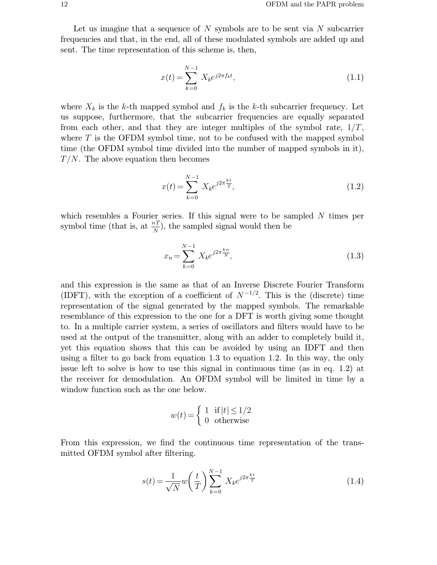Let us imagine that a sequence of  $N$  symbols are to be sent via  $N$  subcarrier frequencies and that, in the end, all of these modulated symbols are added up and sent. The time representation of this scheme is, then,

$$
x(t) = \sum_{k=0}^{N-1} X_k e^{j2\pi f_k t},
$$
\n(1.1)

where  $X_k$  is the k-th mapped symbol and  $f_k$  is the k-th subcarrier frequency. Let us suppose, furthermore, that the subcarrier frequencies are equally separated from each other, and that they are integer multiples of the symbol rate,  $1/T$ , where  $T$  is the OFDM symbol time, not to be confused with the mapped symbol time (the OFDM symbol time divided into the number of mapped symbols in it),  $T/N$ . The above equation then becomes

$$
x(t) = \sum_{k=0}^{N-1} X_k e^{j2\pi \frac{kt}{T}},
$$
\n(1.2)

which resembles a Fourier series. If this signal were to be sampled  $N$  times per symbol time (that is, at  $\frac{n}{N}$ ), the sampled signal would then be

$$
x_n = \sum_{k=0}^{N-1} X_k e^{j2\pi \frac{k_n}{N}},\tag{1.3}
$$

and this expression is the same as that of an Inverse Discrete Fourier Transform (IDFT), with the exception of a coefficient of  $N^{-1/2}$ . This is the (discrete) time representation of the signal generated by the mapped symbols. The remarkable resemblance of this expression to the one for a DFT is worth giving some thought to. In a multiple carrier system, a series of oscillators and filters would have to be used at the output of the transmitter, along with an adder to completely build it, yet this equation shows that this can be avoided by using an IDFT and then using a filter to go back from equation 1.3 to equation 1.2. In this way, the only issue left to solve is how to use this signal in continuous time (as in eq. 1.2) at the receiver for demodulation. An OFDM symbol will be limited in time by a window function such as the one below.

$$
w(t) = \begin{cases} 1 & \text{if } |t| \le 1/2 \\ 0 & \text{otherwise} \end{cases}
$$

From this expression, we find the continuous time representation of the transmitted OFDM symbol after filtering.

$$
s(t) = \frac{1}{\sqrt{N}} w\left(\frac{t}{T}\right) \sum_{k=0}^{N-1} X_k e^{j2\pi \frac{kt}{T}}
$$
(1.4)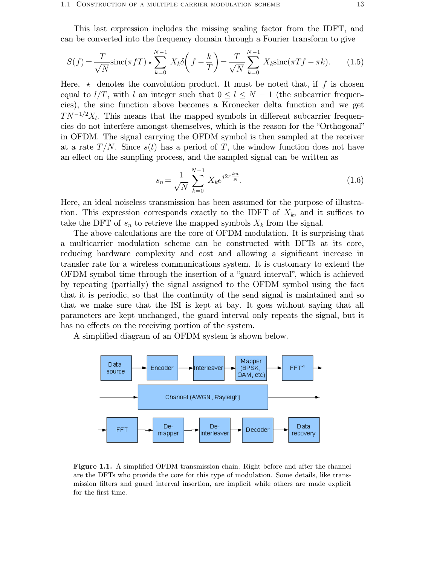This last expression includes the missing scaling factor from the IDFT, and can be converted into the frequency domain through a Fourier transform to give

$$
S(f) = \frac{T}{\sqrt{N}} \operatorname{sinc}(\pi f T) \star \sum_{k=0}^{N-1} X_k \delta\left(f - \frac{k}{T}\right) = \frac{T}{\sqrt{N}} \sum_{k=0}^{N-1} X_k \operatorname{sinc}(\pi T f - \pi k). \tag{1.5}
$$

Here,  $\star$  denotes the convolution product. It must be noted that, if f is chosen equal to  $l/T$ , with l an integer such that  $0 \le l \le N-1$  (the subcarrier frequencies), the sinc function above becomes a Kronecker delta function and we get  $TN^{-1/2}X_l$ . This means that the mapped symbols in different subcarrier frequencies do not interfere amongst themselves, which is the reason for the "Orthogonal" in OFDM. The signal carrying the OFDM symbol is then sampled at the receiver at a rate  $T/N$ . Since  $s(t)$  has a period of T, the window function does not have an effect on the sampling process, and the sampled signal can be written as

$$
s_n = \frac{1}{\sqrt{N}} \sum_{k=0}^{N-1} X_k e^{j2\pi \frac{k_n}{N}}.
$$
\n(1.6)

Here, an ideal noiseless transmission has been assumed for the purpose of illustration. This expression corresponds exactly to the IDFT of  $X_k$ , and it suffices to take the DFT of  $s_n$  to retrieve the mapped symbols  $X_k$  from the signal.

The above calculations are the core of OFDM modulation. It is surprising that a multicarrier modulation scheme can be constructed with DFTs at its core, reducing hardware complexity and cost and allowing a significant increase in transfer rate for a wireless communications system. It is customary to extend the OFDM symbol time through the insertion of a "guard interval", which is achieved by repeating (partially) the signal assigned to the OFDM symbol using the fact that it is periodic, so that the continuity of the send signal is maintained and so that we make sure that the ISI is kept at bay. It goes without saying that all parameters are kept unchanged, the guard interval only repeats the signal, but it has no effects on the receiving portion of the system.

A simplified diagram of an OFDM system is shown below.



**Figure 1.1.** A simplified OFDM transmission chain. Right before and after the channel are the DFTs who provide the core for this type of modulation. Some details, like transmission filters and guard interval insertion, are implicit while others are made explicit for the first time.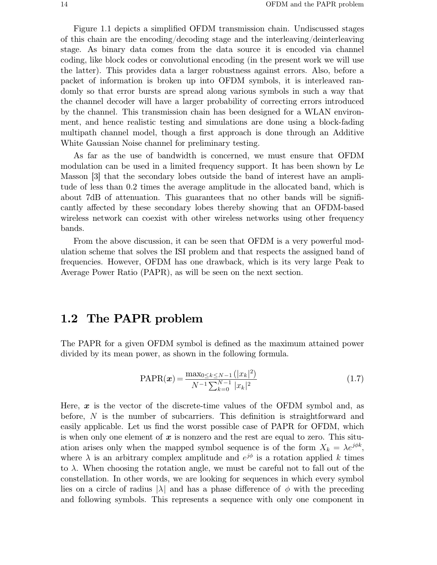Figure 1.1 depicts a simplified OFDM transmission chain. Undiscussed stages of this chain are the encoding/decoding stage and the interleaving/deinterleaving stage. As binary data comes from the data source it is encoded via channel coding, like block codes or convolutional encoding (in the present work we will use the latter). This provides data a larger robustness against errors. Also, before a packet of information is broken up into OFDM symbols, it is interleaved randomly so that error bursts are spread along various symbols in such a way that the channel decoder will have a larger probability of correcting errors introduced by the channel. This transmission chain has been designed for a WLAN environment, and hence realistic testing and simulations are done using a block-fading multipath channel model, though a first approach is done through an Additive White Gaussian Noise channel for preliminary testing.

As far as the use of bandwidth is concerned, we must ensure that OFDM modulation can be used in a limited frequency support. It has been shown by Le Masson [3] that the secondary lobes outside the band of interest have an amplitude of less than 0.2 times the average amplitude in the allocated band, which is about 7dB of attenuation. This guarantees that no other bands will be significantly affected by these secondary lobes thereby showing that an OFDM-based wireless network can coexist with other wireless networks using other frequency bands.

From the above discussion, it can be seen that OFDM is a very powerful modulation scheme that solves the ISI problem and that respects the assigned band of frequencies. However, OFDM has one drawback, which is its very large Peak to Average Power Ratio (PAPR), as will be seen on the next section.

### **1.2 The PAPR problem**

The PAPR for a given OFDM symbol is defined as the maximum attained power divided by its mean power, as shown in the following formula.

$$
PAPR(\boldsymbol{x}) = \frac{\max_{0 \le k \le N-1} (|x_k|^2)}{N^{-1} \sum_{k=0}^{N-1} |x_k|^2}
$$
(1.7)

Here,  $x$  is the vector of the discrete-time values of the OFDM symbol and, as before, N is the number of subcarriers. This definition is straightforward and easily applicable. Let us find the worst possible case of PAPR for OFDM, which is when only one element of  $x$  is nonzero and the rest are equal to zero. This situation arises only when the mapped symbol sequence is of the form  $X_k = \lambda e^{j\phi k}$ , where  $\lambda$  is an arbitrary complex amplitude and  $e^{j\phi}$  is a rotation applied k times to  $\lambda$ . When choosing the rotation angle, we must be careful not to fall out of the constellation. In other words, we are looking for sequences in which every symbol lies on a circle of radius  $|\lambda|$  and has a phase difference of  $\phi$  with the preceding and following symbols. This represents a sequence with only one component in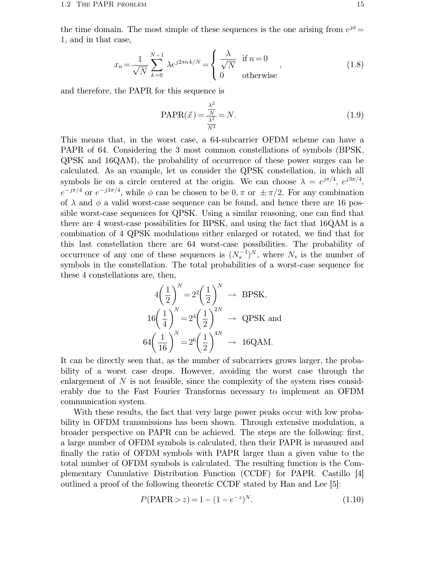the time domain. The most simple of these sequences is the one arising from  $e^{j\phi} =$ 1, and in that case,

$$
x_n = \frac{1}{\sqrt{N}} \sum_{k=0}^{N-1} \lambda e^{j2\pi n k/N} = \begin{cases} \frac{\lambda}{\sqrt{N}} & \text{if } n = 0\\ 0 & \text{otherwise} \end{cases}
$$
 (1.8)

and therefore, the PAPR for this sequence is

$$
PAPR(\vec{x}) = \frac{\frac{\lambda^2}{N}}{\frac{\lambda^2}{N^2}} = N.
$$
\n(1.9)

This means that, in the worst case, a 64-subcarrier OFDM scheme can have a PAPR of 64. Considering the 3 most common constellations of symbols (BPSK, QPSK and 16QAM), the probability of occurrence of these power surges can be calculated. As an example, let us consider the QPSK constellation, in which all symbols lie on a circle centered at the origin. We can choose  $\lambda = e^{j\pi/4}$ ,  $e^{j3\pi/4}$ ,  $e^{-j\pi/4}$  or  $e^{-j3\pi/4}$ , while  $\phi$  can be chosen to be  $0, \pi$  or  $\pm \pi/2$ . For any combination of  $\lambda$  and  $\phi$  a valid worst-case sequence can be found, and hence there are 16 possible worst-case sequences for QPSK. Using a similar reasoning, one can find that there are 4 worst-case possibilities for BPSK, and using the fact that 16QAM is a combination of 4 QPSK modulations either enlarged or rotated, we find that for this last constellation there are 64 worst-case possibilities. The probability of occurrence of any one of these sequences is  $(N_s^{-1})^N$ , where  $N_s$  is the number of symbols in the constellation. The total probabilities of a worst-case sequence for these 4 constellations are, then,

$$
4\left(\frac{1}{2}\right)^N = 2^2 \left(\frac{1}{2}\right)^N \rightarrow \text{BPSK},
$$
  
\n
$$
16\left(\frac{1}{4}\right)^N = 2^4 \left(\frac{1}{2}\right)^{2N} \rightarrow \text{QPSK and}
$$
  
\n
$$
64\left(\frac{1}{16}\right)^N = 2^6 \left(\frac{1}{2}\right)^{4N} \rightarrow 16\text{QAM}.
$$

It can be directly seen that, as the number of subcarriers grows larger, the probability of a worst case drops. However, avoiding the worst case through the enlargement of  $N$  is not feasible, since the complexity of the system rises considerably due to the Fast Fourier Transforms necessary to implement an OFDM communication system.

With these results, the fact that very large power peaks occur with low probability in OFDM transmissions has been shown. Through extensive modulation, a broader perspective on PAPR can be achieved. The steps are the following: first, a large number of OFDM symbols is calculated, then their PAPR is measured and finally the ratio of OFDM symbols with PAPR larger than a given value to the total number of OFDM symbols is calculated. The resulting function is the Complementary Cumulative Distribution Function (CCDF) for PAPR. Castillo [4] outlined a proof of the following theoretic CCDF stated by Han and Lee [5]:

$$
P(\text{PAPR} > z) = 1 - (1 - e^{-z})^N. \tag{1.10}
$$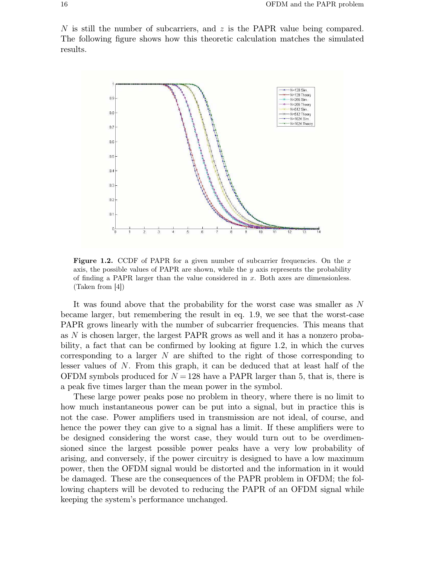N is still the number of subcarriers, and z is the PAPR value being compared. The following figure shows how this theoretic calculation matches the simulated results.



**Figure 1.2.** CCDF of PAPR for a given number of subcarrier frequencies. On the x axis, the possible values of PAPR are shown, while the  $y$  axis represents the probability of finding a PAPR larger than the value considered in  $x$ . Both axes are dimensionless. (Taken from [4])

It was found above that the probability for the worst case was smaller as N became larger, but remembering the result in eq. 1.9, we see that the worst-case PAPR grows linearly with the number of subcarrier frequencies. This means that as N is chosen larger, the largest PAPR grows as well and it has a nonzero probability, a fact that can be confirmed by looking at figure 1.2, in which the curves corresponding to a larger  $N$  are shifted to the right of those corresponding to lesser values of N. From this graph, it can be deduced that at least half of the OFDM symbols produced for  $N = 128$  have a PAPR larger than 5, that is, there is a peak five times larger than the mean power in the symbol.

These large power peaks pose no problem in theory, where there is no limit to how much instantaneous power can be put into a signal, but in practice this is not the case. Power amplifiers used in transmission are not ideal, of course, and hence the power they can give to a signal has a limit. If these amplifiers were to be designed considering the worst case, they would turn out to be overdimensioned since the largest possible power peaks have a very low probability of arising, and conversely, if the power circuitry is designed to have a low maximum power, then the OFDM signal would be distorted and the information in it would be damaged. These are the consequences of the PAPR problem in OFDM; the following chapters will be devoted to reducing the PAPR of an OFDM signal while keeping the system's performance unchanged.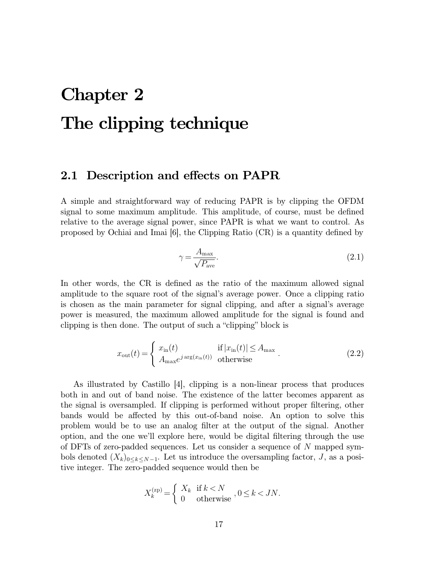# **Chapter 2 The clipping technique**

#### **2.1 Description and effects on PAPR**

A simple and straightforward way of reducing PAPR is by clipping the OFDM signal to some maximum amplitude. This amplitude, of course, must be defined relative to the average signal power, since PAPR is what we want to control. As proposed by Ochiai and Imai [6], the Clipping Ratio (CR) is a quantity defined by

$$
\gamma = \frac{A_{\text{max}}}{\sqrt{P_{\text{ave}}}}.\tag{2.1}
$$

In other words, the CR is defined as the ratio of the maximum allowed signal amplitude to the square root of the signal's average power. Once a clipping ratio is chosen as the main parameter for signal clipping, and after a signal's average power is measured, the maximum allowed amplitude for the signal is found and clipping is then done. The output of such a "clipping" block is

$$
x_{\text{out}}(t) = \begin{cases} x_{\text{in}}(t) & \text{if } |x_{\text{in}}(t)| \le A_{\text{max}} \\ A_{\text{max}} e^{j \arg(x_{\text{in}}(t))} & \text{otherwise} \end{cases}
$$
 (2.2)

As illustrated by Castillo [4], clipping is a non-linear process that produces both in and out of band noise. The existence of the latter becomes apparent as the signal is oversampled. If clipping is performed without proper filtering, other bands would be affected by this out-of-band noise. An option to solve this problem would be to use an analog filter at the output of the signal. Another option, and the one we'll explore here, would be digital filtering through the use of DFTs of zero-padded sequences. Let us consider a sequence of N mapped symbols denoted  $(X_k)_{0\leq k\leq N-1}$ . Let us introduce the oversampling factor, J, as a positive integer. The zero-padded sequence would then be

$$
X_k^{(\text{zp})} = \begin{cases} X_k & \text{if } k < N \\ 0 & \text{otherwise} \end{cases}, 0 \le k < JN.
$$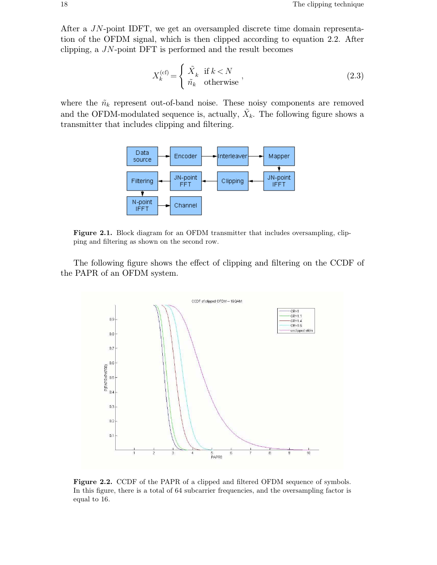After a JN-point IDFT, we get an oversampled discrete time domain representation of the OFDM signal, which is then clipped according to equation 2.2. After clipping, a JN-point DFT is performed and the result becomes

$$
X_k^{(\text{cf})} = \begin{cases} \tilde{X}_k & \text{if } k < N \\ \tilde{n}_k & \text{otherwise} \end{cases} \tag{2.3}
$$

where the  $\tilde{n}_k$  represent out-of-band noise. These noisy components are removed and the OFDM-modulated sequence is, actually,  $\tilde{X}_k$ . The following figure shows a transmitter that includes clipping and filtering.



**Figure 2.1.** Block diagram for an OFDM transmitter that includes oversampling, clipping and filtering as shown on the second row.

The following figure shows the effect of clipping and filtering on the CCDF of the PAPR of an OFDM system.



Figure 2.2. CCDF of the PAPR of a clipped and filtered OFDM sequence of symbols. In this figure, there is a total of 64 subcarrier frequencies, and the oversampling factor is equal to 16.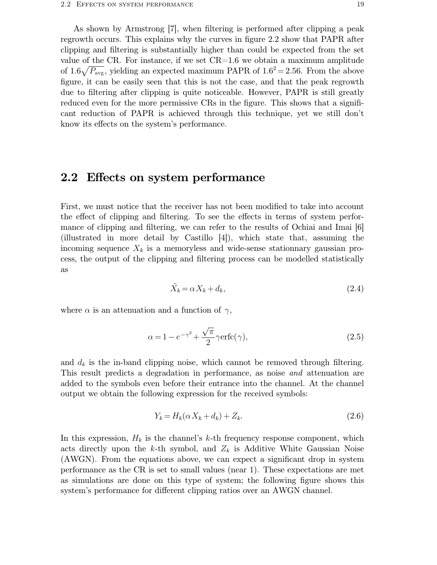As shown by Armstrong [7], when filtering is performed after clipping a peak regrowth occurs. This explains why the curves in figure 2.2 show that PAPR after clipping and filtering is substantially higher than could be expected from the set value of the CR. For instance, if we set  $CR=1.6$  we obtain a maximum amplitude of 1.6 $\sqrt{P_{\text{avg}}}$ , yielding an expected maximum PAPR of 1.6<sup>2</sup> = 2.56. From the above figure, it can be easily seen that this is not the case, and that the peak regrowth due to filtering after clipping is quite noticeable. However, PAPR is still greatly reduced even for the more permissive CRs in the figure. This shows that a significant reduction of PAPR is achieved through this technique, yet we still don't know its effects on the system's performance.

### **2.2 Effects on system performance**

First, we must notice that the receiver has not been modified to take into account the effect of clipping and filtering. To see the effects in terms of system performance of clipping and filtering, we can refer to the results of Ochiai and Imai [6] (illustrated in more detail by Castillo [4]), which state that, assuming the incoming sequence  $X_k$  is a memoryless and wide-sense stationnary gaussian process, the output of the clipping and filtering process can be modelled statistically as

$$
\tilde{X}_k = \alpha X_k + d_k,\tag{2.4}
$$

where  $\alpha$  is an attenuation and a function of  $\gamma$ ,

$$
\alpha = 1 - e^{-\gamma^2} + \frac{\sqrt{\pi}}{2} \gamma \text{erfc}(\gamma),\tag{2.5}
$$

and  $d_k$  is the in-band clipping noise, which cannot be removed through filtering. This result predicts a degradation in performance, as noise *and* attenuation are added to the symbols even before their entrance into the channel. At the channel output we obtain the following expression for the received symbols:

$$
Y_k = H_k(\alpha X_k + d_k) + Z_k. \tag{2.6}
$$

In this expression,  $H_k$  is the channel's k-th frequency response component, which acts directly upon the k-th symbol, and  $Z_k$  is Additive White Gaussian Noise (AWGN). From the equations above, we can expect a significant drop in system performance as the CR is set to small values (near 1). These expectations are met as simulations are done on this type of system; the following figure shows this system's performance for different clipping ratios over an AWGN channel.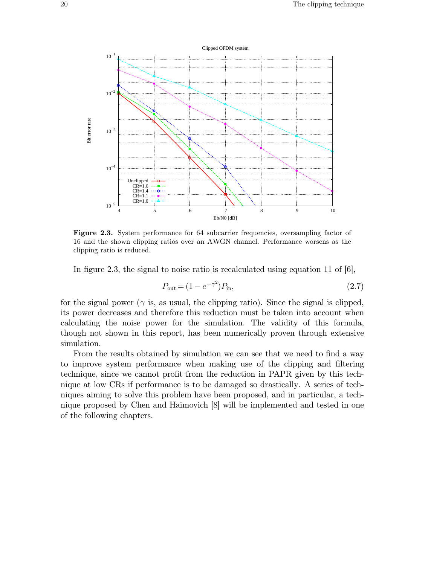

**Figure 2.3.** System performance for 64 subcarrier frequencies, oversampling factor of 16 and the shown clipping ratios over an AWGN channel. Performance worsens as the clipping ratio is reduced.

In figure 2.3, the signal to noise ratio is recalculated using equation 11 of  $[6]$ ,

$$
P_{\text{out}} = (1 - e^{-\gamma^2}) P_{\text{in}},\tag{2.7}
$$

for the signal power ( $\gamma$  is, as usual, the clipping ratio). Since the signal is clipped, its power decreases and therefore this reduction must be taken into account when calculating the noise power for the simulation. The validity of this formula, though not shown in this report, has been numerically proven through extensive simulation.

From the results obtained by simulation we can see that we need to find a way to improve system performance when making use of the clipping and filtering technique, since we cannot profit from the reduction in PAPR given by this technique at low CRs if performance is to be damaged so drastically. A series of techniques aiming to solve this problem have been proposed, and in particular, a technique proposed by Chen and Haimovich [8] will be implemented and tested in one of the following chapters.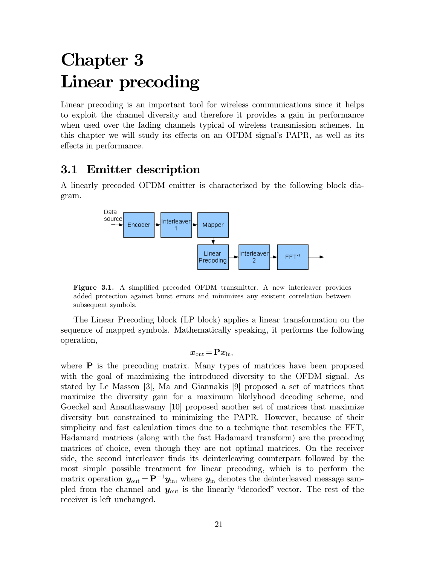# **Chapter 3 Linear precoding**

Linear precoding is an important tool for wireless communications since it helps to exploit the channel diversity and therefore it provides a gain in performance when used over the fading channels typical of wireless transmission schemes. In this chapter we will study its effects on an OFDM signal's PAPR, as well as its effects in performance.

## **3.1 Emitter description**

A linearly precoded OFDM emitter is characterized by the following block diagram.



**Figure 3.1.** A simplified precoded OFDM transmitter. A new interleaver provides added protection against burst errors and minimizes any existent correlation between subsequent symbols.

The Linear Precoding block (LP block) applies a linear transformation on the sequence of mapped symbols. Mathematically speaking, it performs the following operation,

$$
\boldsymbol{x}_{\rm out}\!=\!\mathbf{P}\boldsymbol{x}_{\rm in},
$$

where **P** is the precoding matrix. Many types of matrices have been proposed with the goal of maximizing the introduced diversity to the OFDM signal. As stated by Le Masson [3], Ma and Giannakis [9] proposed a set of matrices that maximize the diversity gain for a maximum likelyhood decoding scheme, and Goeckel and Ananthaswamy [10] proposed another set of matrices that maximize diversity but constrained to minimizing the PAPR. However, because of their simplicity and fast calculation times due to a technique that resembles the FFT, Hadamard matrices (along with the fast Hadamard transform) are the precoding matrices of choice, even though they are not optimal matrices. On the receiver side, the second interleaver finds its deinterleaving counterpart followed by the most simple possible treatment for linear precoding, which is to perform the matrix operation  $y_{\text{out}} = \mathbf{P}^{-1}y_{\text{in}}$ , where  $y_{\text{in}}$  denotes the deinterleaved message sampled from the channel and  $y_{\text{out}}$  is the linearly "decoded" vector. The rest of the receiver is left unchanged.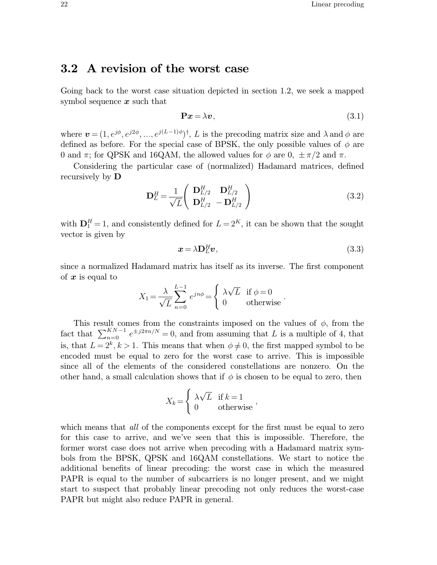## **3.2 A revision of the worst case**

Going back to the worst case situation depicted in section 1.2, we seek a mapped symbol sequence  $x$  such that

$$
\mathbf{P}x = \lambda v,\tag{3.1}
$$

where  $\boldsymbol{v} = (1, e^{j\phi}, e^{j2\phi}, ..., e^{j(L-1)\phi})^{\dagger}$ , L is the precoding matrix size and  $\lambda$  and  $\phi$  are defined as before. For the special case of BPSK, the only possible values of  $\phi$  are 0 and  $\pi$ ; for QPSK and 16QAM, the allowed values for  $\phi$  are 0,  $\pm \pi/2$  and  $\pi$ .

Considering the particular case of (normalized) Hadamard matrices, defined recursively by **D**

$$
\mathbf{D}_{L}^{H} = \frac{1}{\sqrt{L}} \begin{pmatrix} \mathbf{D}_{L/2}^{H} & \mathbf{D}_{L/2}^{H} \\ \mathbf{D}_{L/2}^{H} & -\mathbf{D}_{L/2}^{H} \end{pmatrix}
$$
(3.2)

with  $\mathbf{D}_1^H = 1$ , and consistently defined for  $L = 2^K$ , it can be shown that the sought vector is given by

$$
x = \lambda \mathbf{D}_L^H \mathbf{v},\tag{3.3}
$$

since a normalized Hadamard matrix has itself as its inverse. The first component of  $x$  is equal to

$$
X_1 = \frac{\lambda}{\sqrt{L}} \sum_{n=0}^{L-1} e^{jn\phi} = \begin{cases} \lambda \sqrt{L} & \text{if } \phi = 0\\ 0 & \text{otherwise} \end{cases}.
$$

This result comes from the constraints imposed on the values of  $\phi$ , from the fact that  $\sum_{n=0}^{N}$  $K_{n-1}^{KN-1}e^{\pm j2\pi n/N}=0$ , and from assuming that L is a multiple of 4, that is, that  $L = 2^k, k > 1$ . This means that when  $\phi \neq 0$ , the first mapped symbol to be encoded must be equal to zero for the worst case to arrive. This is impossible since all of the elements of the considered constellations are nonzero. On the other hand, a small calculation shows that if  $\phi$  is chosen to be equal to zero, then

$$
X_k = \begin{cases} \lambda \sqrt{L} & \text{if } k = 1 \\ 0 & \text{otherwise} \end{cases}
$$

which means that *all* of the components except for the first must be equal to zero for this case to arrive, and we've seen that this is impossible. Therefore, the former worst case does not arrive when precoding with a Hadamard matrix symbols from the BPSK, QPSK and 16QAM constellations. We start to notice the additional benefits of linear precoding: the worst case in which the measured PAPR is equal to the number of subcarriers is no longer present, and we might start to suspect that probably linear precoding not only reduces the worst-case PAPR but might also reduce PAPR in general.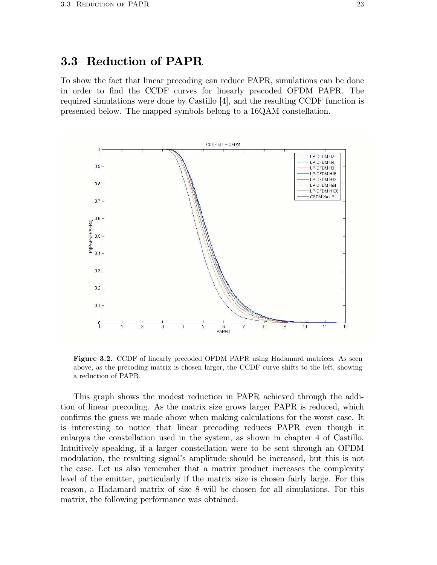## **3.3 Reduction of PAPR**

To show the fact that linear precoding can reduce PAPR, simulations can be done in order to find the CCDF curves for linearly precoded OFDM PAPR. The required simulations were done by Castillo [4], and the resulting CCDF function is presented below. The mapped symbols belong to a 16QAM constellation.



**Figure 3.2.** CCDF of linearly precoded OFDM PAPR using Hadamard matrices. As seen above, as the precoding matrix is chosen larger, the CCDF curve shifts to the left, showing a reduction of PAPR.

This graph shows the modest reduction in PAPR achieved through the addition of linear precoding. As the matrix size grows larger PAPR is reduced, which confirms the guess we made above when making calculations for the worst case. It is interesting to notice that linear precoding reduces PAPR even though it enlarges the constellation used in the system, as shown in chapter 4 of Castillo. Intuitively speaking, if a larger constellation were to be sent through an OFDM modulation, the resulting signal's amplitude should be increased, but this is not the case. Let us also remember that a matrix product increases the complexity level of the emitter, particularly if the matrix size is chosen fairly large. For this reason, a Hadamard matrix of size 8 will be chosen for all simulations. For this matrix, the following performance was obtained.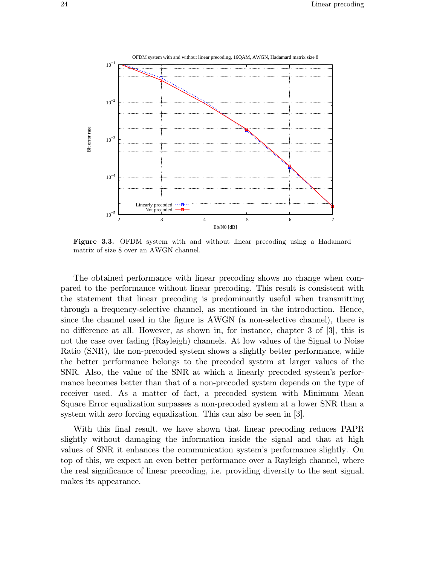

**Figure 3.3.** OFDM system with and without linear precoding using a Hadamard matrix of size 8 over an AWGN channel.

The obtained performance with linear precoding shows no change when compared to the performance without linear precoding. This result is consistent with the statement that linear precoding is predominantly useful when transmitting through a frequency-selective channel, as mentioned in the introduction. Hence, since the channel used in the figure is AWGN (a non-selective channel), there is no difference at all. However, as shown in, for instance, chapter 3 of [3], this is not the case over fading (Rayleigh) channels. At low values of the Signal to Noise Ratio (SNR), the non-precoded system shows a slightly better performance, while the better performance belongs to the precoded system at larger values of the SNR. Also, the value of the SNR at which a linearly precoded system's performance becomes better than that of a non-precoded system depends on the type of receiver used. As a matter of fact, a precoded system with Minimum Mean Square Error equalization surpasses a non-precoded system at a lower SNR than a system with zero forcing equalization. This can also be seen in [3].

With this final result, we have shown that linear precoding reduces PAPR slightly without damaging the information inside the signal and that at high values of SNR it enhances the communication system's performance slightly. On top of this, we expect an even better performance over a Rayleigh channel, where the real significance of linear precoding, i.e. providing diversity to the sent signal, makes its appearance.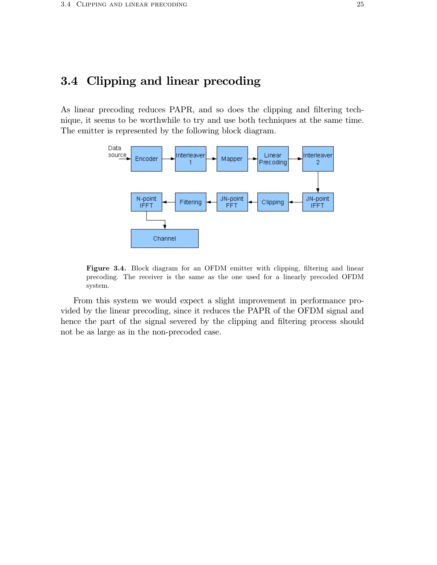## **3.4 Clipping and linear precoding**

As linear precoding reduces PAPR, and so does the clipping and filtering technique, it seems to be worthwhile to try and use both techniques at the same time. The emitter is represented by the following block diagram.



Figure 3.4. Block diagram for an OFDM emitter with clipping, filtering and linear precoding. The receiver is the same as the one used for a linearly precoded OFDM system.

From this system we would expect a slight improvement in performance provided by the linear precoding, since it reduces the PAPR of the OFDM signal and hence the part of the signal severed by the clipping and filtering process should not be as large as in the non-precoded case.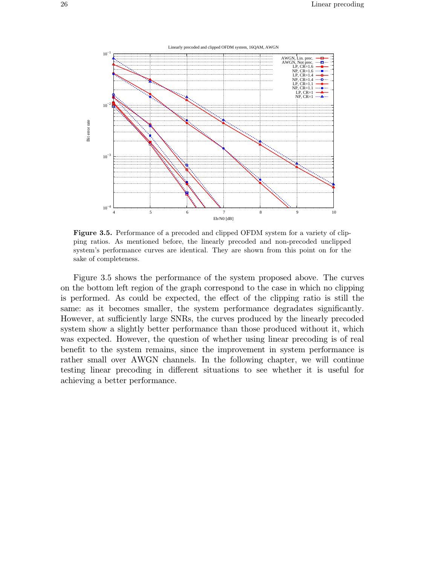



**Figure 3.5.** Performance of a precoded and clipped OFDM system for a variety of clipping ratios. As mentioned before, the linearly precoded and non-precoded unclipped system's performance curves are identical. They are shown from this point on for the sake of completeness.

Figure 3.5 shows the performance of the system proposed above. The curves on the bottom left region of the graph correspond to the case in which no clipping is performed. As could be expected, the effect of the clipping ratio is still the same: as it becomes smaller, the system performance degradates significantly. However, at sufficiently large SNRs, the curves produced by the linearly precoded system show a slightly better performance than those produced without it, which was expected. However, the question of whether using linear precoding is of real benefit to the system remains, since the improvement in system performance is rather small over AWGN channels. In the following chapter, we will continue testing linear precoding in different situations to see whether it is useful for achieving a better performance.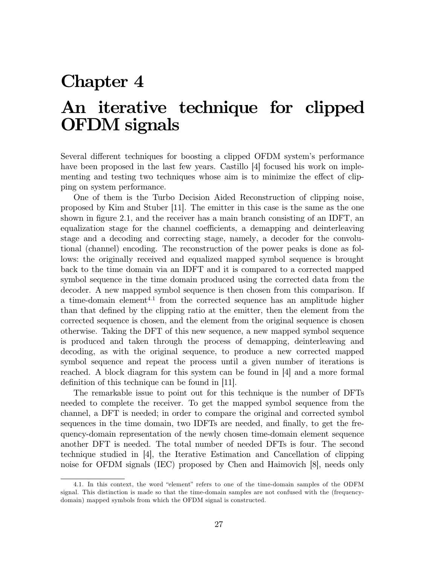# **Chapter 4**

# **An iterative technique for clipped OFDM signals**

Several different techniques for boosting a clipped OFDM system's performance have been proposed in the last few years. Castillo [4] focused his work on implementing and testing two techniques whose aim is to minimize the effect of clipping on system performance.

One of them is the Turbo Decision Aided Reconstruction of clipping noise, proposed by Kim and Stuber [11]. The emitter in this case is the same as the one shown in figure 2.1, and the receiver has a main branch consisting of an IDFT, an equalization stage for the channel coefficients, a demapping and deinterleaving stage and a decoding and correcting stage, namely, a decoder for the convolutional (channel) encoding. The reconstruction of the power peaks is done as follows: the originally received and equalized mapped symbol sequence is brought back to the time domain via an IDFT and it is compared to a corrected mapped symbol sequence in the time domain produced using the corrected data from the decoder. A new mapped symbol sequence is then chosen from this comparison. If a time-domain element<sup>4.1</sup> from the corrected sequence has an amplitude higher than that defined by the clipping ratio at the emitter, then the element from the corrected sequence is chosen, and the element from the original sequence is chosen otherwise. Taking the DFT of this new sequence, a new mapped symbol sequence is produced and taken through the process of demapping, deinterleaving and decoding, as with the original sequence, to produce a new corrected mapped symbol sequence and repeat the process until a given number of iterations is reached. A block diagram for this system can be found in [4] and a more formal definition of this technique can be found in [11].

The remarkable issue to point out for this technique is the number of DFTs needed to complete the receiver. To get the mapped symbol sequence from the channel, a DFT is needed; in order to compare the original and corrected symbol sequences in the time domain, two IDFTs are needed, and finally, to get the frequency-domain representation of the newly chosen time-domain element sequence another DFT is needed. The total number of needed DFTs is four. The second technique studied in [4], the Iterative Estimation and Cancellation of clipping noise for OFDM signals (IEC) proposed by Chen and Haimovich [8], needs only

<sup>4.1.</sup> In this context, the word "element" refers to one of the time-domain samples of the ODFM signal. This distinction is made so that the time-domain samples are not confused with the (frequencydomain) mapped symbols from which the OFDM signal is constructed.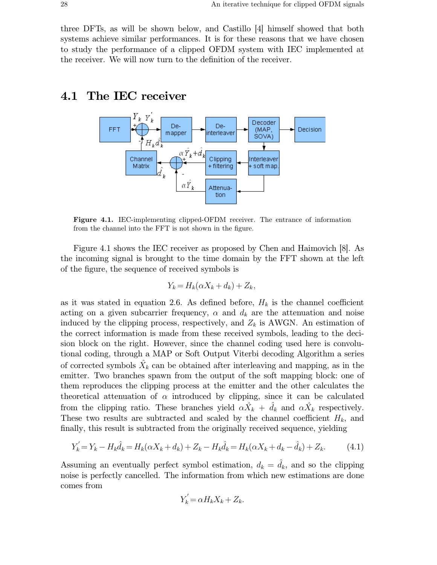three DFTs, as will be shown below, and Castillo [4] himself showed that both systems achieve similar performances. It is for these reasons that we have chosen to study the performance of a clipped OFDM system with IEC implemented at the receiver. We will now turn to the definition of the receiver.

#### **4.1 The IEC receiver**



**Figure 4.1.** IEC-implementing clipped-OFDM receiver. The entrance of information from the channel into the FFT is not shown in the figure.

Figure 4.1 shows the IEC receiver as proposed by Chen and Haimovich [8]. As the incoming signal is brought to the time domain by the FFT shown at the left of the figure, the sequence of received symbols is

$$
Y_k = H_k(\alpha X_k + d_k) + Z_k,
$$

as it was stated in equation 2.6. As defined before,  $H_k$  is the channel coefficient acting on a given subcarrier frequency,  $\alpha$  and  $d_k$  are the attenuation and noise induced by the clipping process, respectively, and  $Z_k$  is AWGN. An estimation of the correct information is made from these received symbols, leading to the decision block on the right. However, since the channel coding used here is convolutional coding, through a MAP or Soft Output Viterbi decoding Algorithm a series of corrected symbols  $\hat{X}_k$  can be obtained after interleaving and mapping, as in the emitter. Two branches spawn from the output of the soft mapping block: one of them reproduces the clipping process at the emitter and the other calculates the theoretical attenuation of  $\alpha$  introduced by clipping, since it can be calculated from the clipping ratio. These branches yield  $\alpha \hat{X}_k + \hat{d}_k$  and  $\alpha \hat{X}_k$  respectively. These two results are subtracted and scaled by the channel coefficient  $H_k$ , and finally, this result is subtracted from the originally received sequence, yielding

$$
Y'_{k} = Y_{k} - H_{k}\hat{d}_{k} = H_{k}(\alpha X_{k} + d_{k}) + Z_{k} - H_{k}\hat{d}_{k} = H_{k}(\alpha X_{k} + d_{k} - \hat{d}_{k}) + Z_{k}.
$$
 (4.1)

Assuming an eventually perfect symbol estimation,  $d_k = \hat{d}_k$ , and so the clipping noise is perfectly cancelled. The information from which new estimations are done comes from

$$
Y_k' = \alpha H_k X_k + Z_k.
$$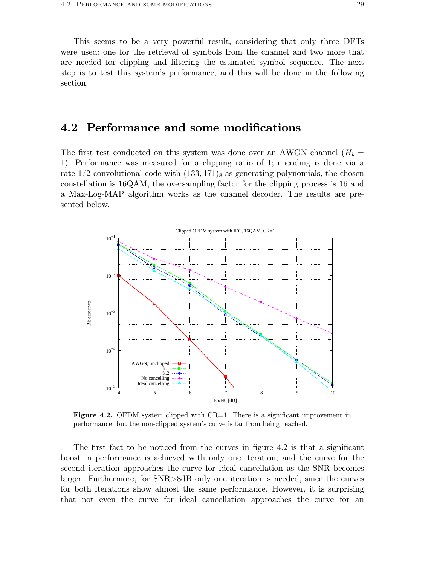This seems to be a very powerful result, considering that only three DFTs were used: one for the retrieval of symbols from the channel and two more that are needed for clipping and filtering the estimated symbol sequence. The next step is to test this system's performance, and this will be done in the following section.

### **4.2 Performance and some modifications**

The first test conducted on this system was done over an AWGN channel  $(H_k =$ 1). Performance was measured for a clipping ratio of 1; encoding is done via a rate  $1/2$  convolutional code with  $(133, 171)_8$  as generating polynomials, the chosen constellation is 16QAM, the oversampling factor for the clipping process is 16 and a Max-Log-MAP algorithm works as the channel decoder. The results are presented below.



**Figure 4.2.** OFDM system clipped with CR=1. There is a significant improvement in performance, but the non-clipped system's curve is far from being reached.

The first fact to be noticed from the curves in figure 4.2 is that a significant boost in performance is achieved with only one iteration, and the curve for the second iteration approaches the curve for ideal cancellation as the SNR becomes larger. Furthermore, for SNR>8dB only one iteration is needed, since the curves for both iterations show almost the same performance. However, it is surprising that not even the curve for ideal cancellation approaches the curve for an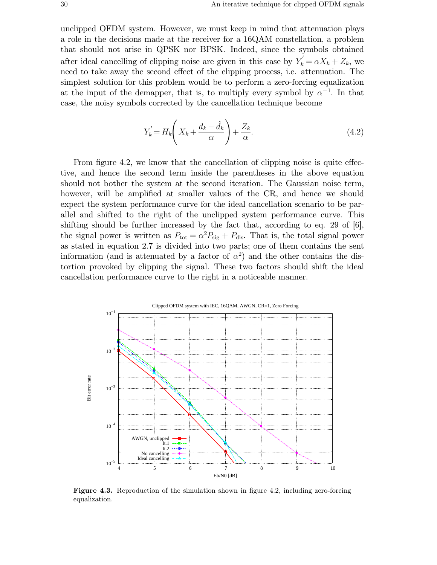unclipped OFDM system. However, we must keep in mind that attenuation plays a role in the decisions made at the receiver for a 16QAM constellation, a problem that should not arise in QPSK nor BPSK. Indeed, since the symbols obtained after ideal cancelling of clipping noise are given in this case by  $Y_k^{\prime} = \alpha X_k + Z_k$ , we need to take away the second effect of the clipping process, i.e. attenuation. The simplest solution for this problem would be to perform a zero-forcing equalization at the input of the demapper, that is, to multiply every symbol by  $\alpha^{-1}$ . In that case, the noisy symbols corrected by the cancellation technique become

$$
Y'_{k} = H_{k} \left( X_{k} + \frac{d_{k} - \hat{d}_{k}}{\alpha} \right) + \frac{Z_{k}}{\alpha}.
$$
\n(4.2)

From figure 4.2, we know that the cancellation of clipping noise is quite effective, and hence the second term inside the parentheses in the above equation should not bother the system at the second iteration. The Gaussian noise term, however, will be amplified at smaller values of the CR, and hence we should expect the system performance curve for the ideal cancellation scenario to be parallel and shifted to the right of the unclipped system performance curve. This shifting should be further increased by the fact that, according to eq. 29 of [6], the signal power is written as  $P_{\text{tot}} = \alpha^2 P_{\text{sig}} + P_{\text{dis}}$ . That is, the total signal power as stated in equation 2.7 is divided into two parts; one of them contains the sent information (and is attenuated by a factor of  $\alpha^2$ ) and the other contains the distortion provoked by clipping the signal. These two factors should shift the ideal cancellation performance curve to the right in a noticeable manner.



**Figure 4.3.** Reproduction of the simulation shown in figure 4.2, including zero-forcing equalization.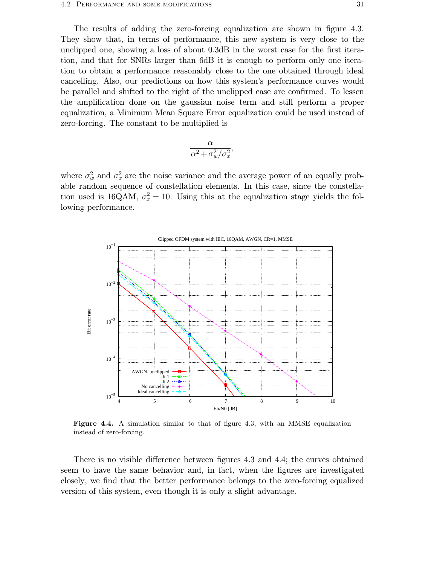The results of adding the zero-forcing equalization are shown in figure 4.3. They show that, in terms of performance, this new system is very close to the unclipped one, showing a loss of about 0.3dB in the worst case for the first iteration, and that for SNRs larger than 6dB it is enough to perform only one iteration to obtain a performance reasonably close to the one obtained through ideal cancelling. Also, our predictions on how this system's performance curves would be parallel and shifted to the right of the unclipped case are confirmed. To lessen the amplification done on the gaussian noise term and still perform a proper equalization, a Minimum Mean Square Error equalization could be used instead of zero-forcing. The constant to be multiplied is

$$
\frac{\alpha}{\alpha^2 + \sigma_w^2/\sigma_x^2},
$$

where  $\sigma_w^2$  and  $\sigma_x^2$  are the noise variance and the average power of an equally probable random sequence of constellation elements. In this case, since the constellation used is 16QAM,  $\sigma_x^2 = 10$ . Using this at the equalization stage yields the following performance.



**Figure 4.4.** A simulation similar to that of figure 4.3, with an MMSE equalization instead of zero-forcing.

There is no visible difference between figures 4.3 and 4.4; the curves obtained seem to have the same behavior and, in fact, when the figures are investigated closely, we find that the better performance belongs to the zero-forcing equalized version of this system, even though it is only a slight advantage.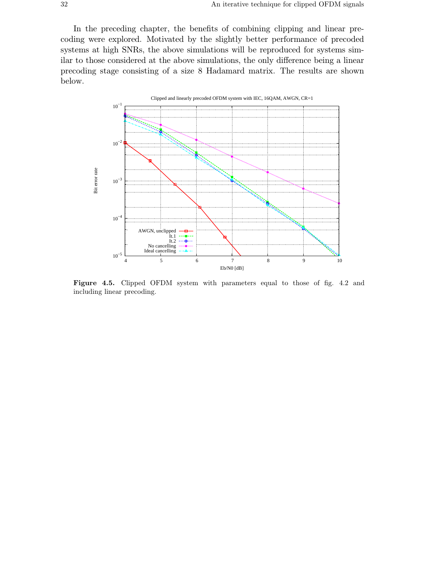In the preceding chapter, the benefits of combining clipping and linear precoding were explored. Motivated by the slightly better performance of precoded systems at high SNRs, the above simulations will be reproduced for systems similar to those considered at the above simulations, the only difference being a linear precoding stage consisting of a size 8 Hadamard matrix. The results are shown below.



**Figure 4.5.** Clipped OFDM system with parameters equal to those of fig. 4.2 and including linear precoding.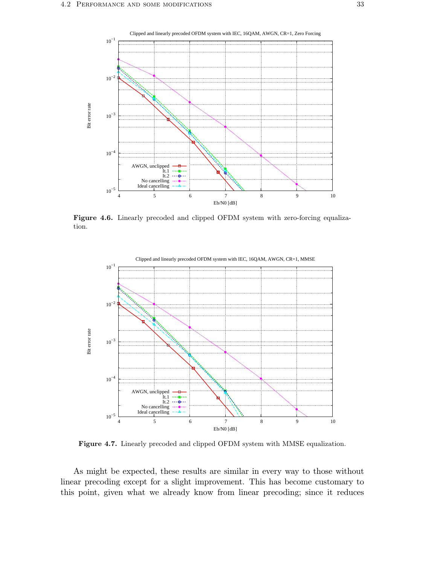

**Figure 4.6.** Linearly precoded and clipped OFDM system with zero-forcing equalization.



**Figure 4.7.** Linearly precoded and clipped OFDM system with MMSE equalization.

As might be expected, these results are similar in every way to those without linear precoding except for a slight improvement. This has become customary to this point, given what we already know from linear precoding; since it reduces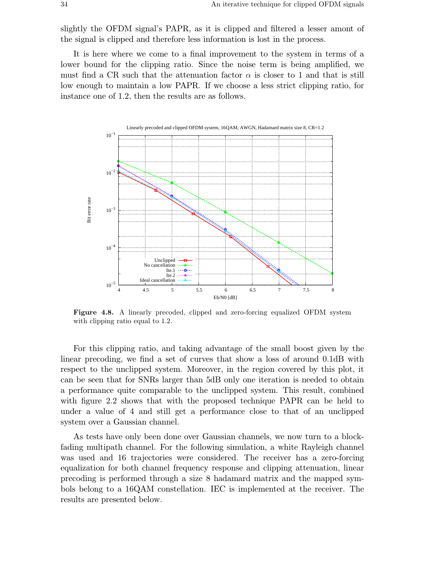slightly the OFDM signal's PAPR, as it is clipped and filtered a lesser amont of the signal is clipped and therefore less information is lost in the process.

It is here where we come to a final improvement to the system in terms of a lower bound for the clipping ratio. Since the noise term is being amplified, we must find a CR such that the attenuation factor  $\alpha$  is closer to 1 and that is still low enough to maintain a low PAPR. If we choose a less strict clipping ratio, for instance one of 1.2, then the results are as follows.



**Figure 4.8.** A linearly precoded, clipped and zero-forcing equalized OFDM system with clipping ratio equal to 1.2.

For this clipping ratio, and taking advantage of the small boost given by the linear precoding, we find a set of curves that show a loss of around 0.1dB with respect to the unclipped system. Moreover, in the region covered by this plot, it can be seen that for SNRs larger than 5dB only one iteration is needed to obtain a performance quite comparable to the unclipped system. This result, combined with figure 2.2 shows that with the proposed technique PAPR can be held to under a value of 4 and still get a performance close to that of an unclipped system over a Gaussian channel.

As tests have only been done over Gaussian channels, we now turn to a blockfading multipath channel. For the following simulation, a white Rayleigh channel was used and 16 trajectories were considered. The receiver has a zero-forcing equalization for both channel frequency response and clipping attenuation, linear precoding is performed through a size 8 hadamard matrix and the mapped symbols belong to a 16QAM constellation. IEC is implemented at the receiver. The results are presented below.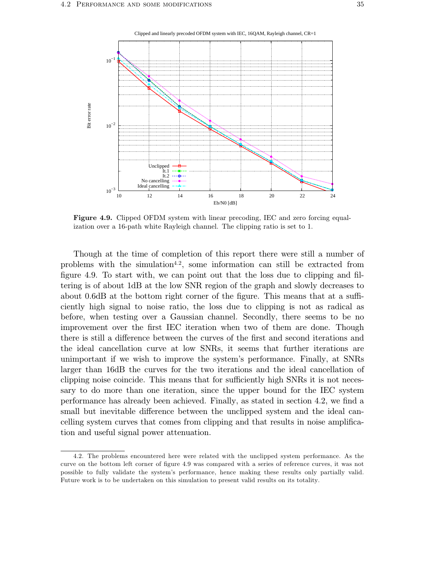

**Figure 4.9.** Clipped OFDM system with linear precoding, IEC and zero forcing equalization over a 16-path white Rayleigh channel. The clipping ratio is set to 1.

Though at the time of completion of this report there were still a number of problems with the simulation<sup>4.2</sup>, some information can still be extracted from figure 4.9. To start with, we can point out that the loss due to clipping and filtering is of about 1dB at the low SNR region of the graph and slowly decreases to about 0.6dB at the bottom right corner of the figure. This means that at a sufficiently high signal to noise ratio, the loss due to clipping is not as radical as before, when testing over a Gaussian channel. Secondly, there seems to be no improvement over the first IEC iteration when two of them are done. Though there is still a difference between the curves of the first and second iterations and the ideal cancellation curve at low SNRs, it seems that further iterations are unimportant if we wish to improve the system's performance. Finally, at SNRs larger than 16dB the curves for the two iterations and the ideal cancellation of clipping noise coincide. This means that for sufficiently high SNRs it is not necessary to do more than one iteration, since the upper bound for the IEC system performance has already been achieved. Finally, as stated in section 4.2, we find a small but inevitable difference between the unclipped system and the ideal cancelling system curves that comes from clipping and that results in noise amplification and useful signal power attenuation.

<sup>4.2.</sup> The problems encountered here were related with the unclipped system performance. As the curve on the bottom left corner of figure 4.9 was compared with a series of reference curves, it was not possible to fully validate the system's performance, hence making these results only partially valid. Future work is to be undertaken on this simulation to present valid results on its totality.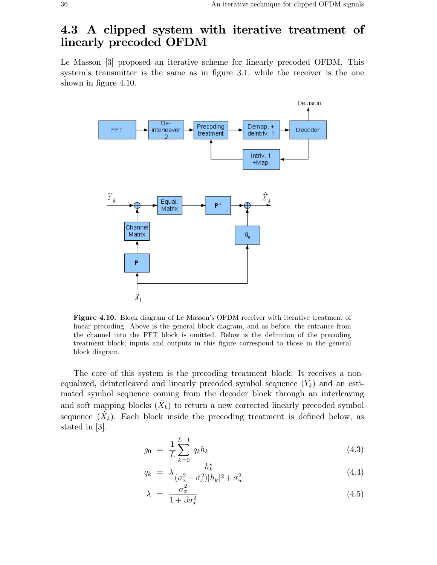## **4.3 A clipped system with iterative treatment of linearly precoded OFDM**

Le Masson [3] proposed an iterative scheme for linearly precoded OFDM. This system's transmitter is the same as in figure 3.1, while the receiver is the one shown in figure 4.10.



**Figure 4.10.** Block diagram of Le Masson's OFDM receiver with iterative treatment of linear precoding. Above is the general block diagram, and as before, the entrance from the channel into the FFT block is omitted. Below is the definition of the precoding treatment block; inputs and outputs in this figure correspond to those in the general block diagram.

The core of this system is the precoding treatment block. It receives a nonequalized, deinterleaved and linearly precoded symbol sequence  $(Y_k)$  and an estimated symbol sequence coming from the decoder block through an interleaving and soft mapping blocks  $(\hat{X}_k)$  to return a new corrected linearly precoded symbol sequence  $(\tilde{X}_k)$ . Each block inside the precoding treatment is defined below, as stated in [3].

$$
g_0 = \frac{1}{L} \sum_{k=0}^{L-1} q_k h_k \tag{4.3}
$$

$$
q_k = \lambda \frac{h_k^{\star}}{(\sigma_x^2 - \hat{\sigma}_x^2)|h_k|^2 + \sigma_w^2}
$$
\n(4.4)

$$
\lambda = \frac{\sigma_x^2}{1 + \beta \sigma_x^2} \tag{4.5}
$$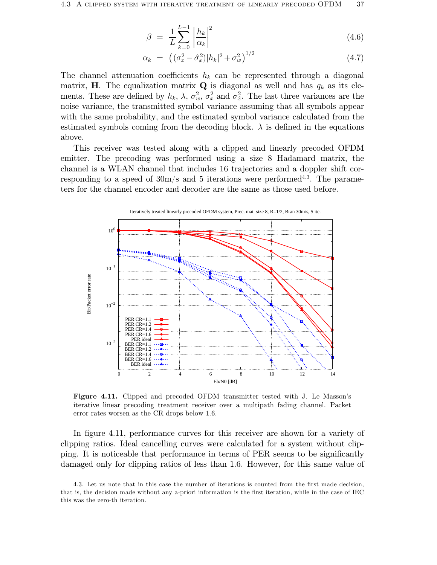$$
\beta = \frac{1}{L} \sum_{k=0}^{L-1} \left| \frac{h_k}{\alpha_k} \right|^2 \tag{4.6}
$$

$$
\alpha_k = ((\sigma_x^2 - \hat{\sigma}_x^2)|h_k|^2 + \sigma_w^2)^{1/2}
$$
\n(4.7)

The channel attenuation coefficients  $h_k$  can be represented through a diagonal matrix, **H**. The equalization matrix **Q** is diagonal as well and has  $q_k$  as its elements. These are defined by  $h_k$ ,  $\lambda$ ,  $\sigma_w^2$ ,  $\sigma_x^2$  and  $\sigma_x^2$ . The last three variances are the noise variance, the transmitted symbol variance assuming that all symbols appear with the same probability, and the estimated symbol variance calculated from the estimated symbols coming from the decoding block.  $\lambda$  is defined in the equations above.

This receiver was tested along with a clipped and linearly precoded OFDM emitter. The precoding was performed using a size 8 Hadamard matrix, the channel is a WLAN channel that includes 16 trajectories and a doppler shift corresponding to a speed of 30m/s and 5 iterations were performed 4.3. The parameters for the channel encoder and decoder are the same as those used before.



**Figure 4.11.** Clipped and precoded OFDM transmitter tested with J. Le Masson's iterative linear precoding treatment receiver over a multipath fading channel. Packet error rates worsen as the CR drops below 1.6.

In figure 4.11, performance curves for this receiver are shown for a variety of clipping ratios. Ideal cancelling curves were calculated for a system without clipping. It is noticeable that performance in terms of PER seems to be significantly damaged only for clipping ratios of less than 1.6. However, for this same value of

<sup>4.3.</sup> Let us note that in this case the number of iterations is counted from the first made decision, that is, the decision made without any a-priori information is the first iteration, while in the case of IEC this was the zero-th iteration.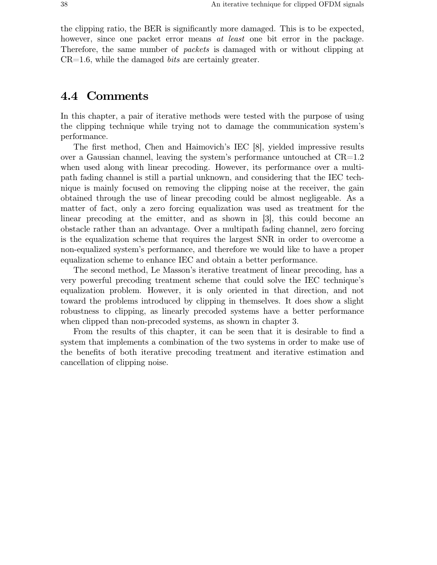the clipping ratio, the BER is significantly more damaged. This is to be expected, however, since one packet error means *at least* one bit error in the package. Therefore, the same number of *packets* is damaged with or without clipping at CR=1.6, while the damaged *bits* are certainly greater.

#### **4.4 Comments**

In this chapter, a pair of iterative methods were tested with the purpose of using the clipping technique while trying not to damage the communication system's performance.

The first method, Chen and Haimovich's IEC [8], yielded impressive results over a Gaussian channel, leaving the system's performance untouched at  $CR=1.2$ when used along with linear precoding. However, its performance over a multipath fading channel is still a partial unknown, and considering that the IEC technique is mainly focused on removing the clipping noise at the receiver, the gain obtained through the use of linear precoding could be almost negligeable. As a matter of fact, only a zero forcing equalization was used as treatment for the linear precoding at the emitter, and as shown in [3], this could become an obstacle rather than an advantage. Over a multipath fading channel, zero forcing is the equalization scheme that requires the largest SNR in order to overcome a non-equalized system's performance, and therefore we would like to have a proper equalization scheme to enhance IEC and obtain a better performance.

The second method, Le Masson's iterative treatment of linear precoding, has a very powerful precoding treatment scheme that could solve the IEC technique's equalization problem. However, it is only oriented in that direction, and not toward the problems introduced by clipping in themselves. It does show a slight robustness to clipping, as linearly precoded systems have a better performance when clipped than non-precoded systems, as shown in chapter 3.

From the results of this chapter, it can be seen that it is desirable to find a system that implements a combination of the two systems in order to make use of the benefits of both iterative precoding treatment and iterative estimation and cancellation of clipping noise.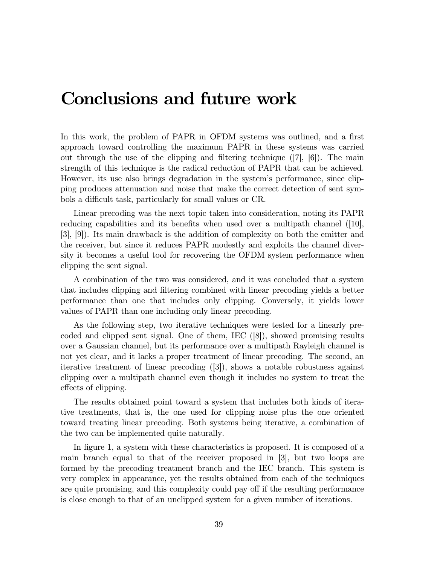## **Conclusions and future work**

In this work, the problem of PAPR in OFDM systems was outlined, and a first approach toward controlling the maximum PAPR in these systems was carried out through the use of the clipping and filtering technique  $(|7|, |6|)$ . The main strength of this technique is the radical reduction of PAPR that can be achieved. However, its use also brings degradation in the system's performance, since clipping produces attenuation and noise that make the correct detection of sent symbols a difficult task, particularly for small values or CR.

Linear precoding was the next topic taken into consideration, noting its PAPR reducing capabilities and its benefits when used over a multipath channel (10), [3], [9]). Its main drawback is the addition of complexity on both the emitter and the receiver, but since it reduces PAPR modestly and exploits the channel diversity it becomes a useful tool for recovering the OFDM system performance when clipping the sent signal.

A combination of the two was considered, and it was concluded that a system that includes clipping and filtering combined with linear precoding yields a better performance than one that includes only clipping. Conversely, it yields lower values of PAPR than one including only linear precoding.

As the following step, two iterative techniques were tested for a linearly precoded and clipped sent signal. One of them, IEC ([8]), showed promising results over a Gaussian channel, but its performance over a multipath Rayleigh channel is not yet clear, and it lacks a proper treatment of linear precoding. The second, an iterative treatment of linear precoding ([3]), shows a notable robustness against clipping over a multipath channel even though it includes no system to treat the effects of clipping.

The results obtained point toward a system that includes both kinds of iterative treatments, that is, the one used for clipping noise plus the one oriented toward treating linear precoding. Both systems being iterative, a combination of the two can be implemented quite naturally.

In figure 1, a system with these characteristics is proposed. It is composed of a main branch equal to that of the receiver proposed in [3], but two loops are formed by the precoding treatment branch and the IEC branch. This system is very complex in appearance, yet the results obtained from each of the techniques are quite promising, and this complexity could pay off if the resulting performance is close enough to that of an unclipped system for a given number of iterations.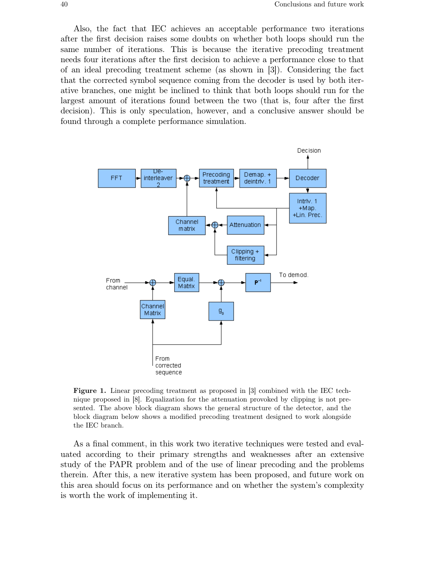Also, the fact that IEC achieves an acceptable performance two iterations after the first decision raises some doubts on whether both loops should run the same number of iterations. This is because the iterative precoding treatment needs four iterations after the first decision to achieve a performance close to that of an ideal precoding treatment scheme (as shown in [3]). Considering the fact that the corrected symbol sequence coming from the decoder is used by both iterative branches, one might be inclined to think that both loops should run for the largest amount of iterations found between the two (that is, four after the first decision). This is only speculation, however, and a conclusive answer should be found through a complete performance simulation.



**Figure 1.** Linear precoding treatment as proposed in [3] combined with the IEC technique proposed in [8]. Equalization for the attenuation provoked by clipping is not presented. The above block diagram shows the general structure of the detector, and the block diagram below shows a modified precoding treatment designed to work alongside the IEC branch.

As a final comment, in this work two iterative techniques were tested and evaluated according to their primary strengths and weaknesses after an extensive study of the PAPR problem and of the use of linear precoding and the problems therein. After this, a new iterative system has been proposed, and future work on this area should focus on its performance and on whether the system's complexity is worth the work of implementing it.